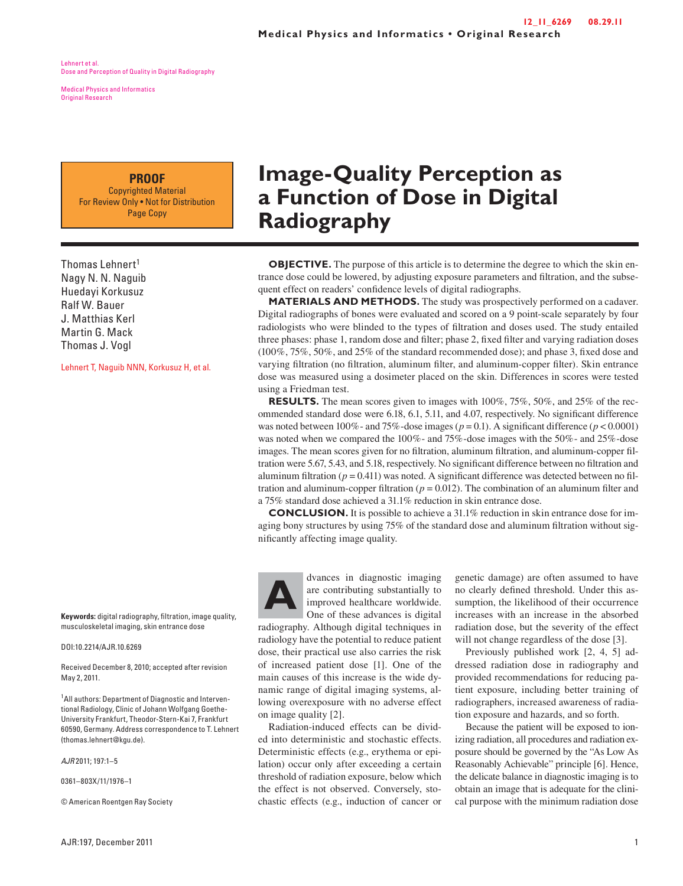Lehnert et al. Dose and Perception of Quality in Digital Radiography

Medical Physics and Informatics Original Research

# **PROOF**

Copyrighted Material For Review Only • Not for Distribution Page Copy

Thomas Lehnert1 Nagy N. N. Naguib Huedayi Korkusuz Ralf W. Bauer J. Matthias Kerl Martin G. Mack Thomas J. Vogl

Lehnert T, Naguib NNN, Korkusuz H, et al.

**Keywords:** digital radiography, filtration, image quality, musculoskeletal imaging, skin entrance dose

DOI:10.2214/AJR.10.6269

Received December 8, 2010; accepted after revision May 2, 2011.

<sup>1</sup>All authors: Department of Diagnostic and Interventional Radiology, Clinic of Johann Wolfgang Goethe-University Frankfurt, Theodor-Stern-Kai 7, Frankfurt 60590, Germany. Address correspondence to T. Lehnert (thomas.lehnert@kgu.de).

*AJR* 2011; 197:1–5

0361–803X/11/1976–1

© American Roentgen Ray Society

# **Image-Quality Perception as a Function of Dose in Digital Radiography**

**OBJECTIVE.** The purpose of this article is to determine the degree to which the skin entrance dose could be lowered, by adjusting exposure parameters and filtration, and the subsequent effect on readers' confidence levels of digital radiographs.

**MATERIALS AND METHODS.** The study was prospectively performed on a cadaver. Digital radiographs of bones were evaluated and scored on a 9 point-scale separately by four radiologists who were blinded to the types of filtration and doses used. The study entailed three phases: phase 1, random dose and filter; phase 2, fixed filter and varying radiation doses (100%, 75%, 50%, and 25% of the standard recommended dose); and phase 3, fixed dose and varying filtration (no filtration, aluminum filter, and aluminum-copper filter). Skin entrance dose was measured using a dosimeter placed on the skin. Differences in scores were tested using a Friedman test.

**RESULTS.** The mean scores given to images with 100%, 75%, 50%, and 25% of the recommended standard dose were 6.18, 6.1, 5.11, and 4.07, respectively. No significant difference was noted between  $100\%$ - and  $75\%$ -dose images ( $p = 0.1$ ). A significant difference ( $p < 0.0001$ ) was noted when we compared the 100%- and 75%-dose images with the 50%- and 25%-dose images. The mean scores given for no filtration, aluminum filtration, and aluminum-copper filtration were 5.67, 5.43, and 5.18, respectively. No significant difference between no filtration and aluminum filtration  $(p = 0.411)$  was noted. A significant difference was detected between no filtration and aluminum-copper filtration  $(p = 0.012)$ . The combination of an aluminum filter and a 75% standard dose achieved a 31.1% reduction in skin entrance dose.

**CONCLUSION.** It is possible to achieve a 31.1% reduction in skin entrance dose for imaging bony structures by using 75% of the standard dose and aluminum filtration without significantly affecting image quality.



**A** dvances in diagnostic imaging<br>
are contributing substantially to<br>
one of these advances is digital<br>
one of these advances is digital are contributing substantially to improved healthcare worldwide.

radiography. Although digital techniques in radiology have the potential to reduce patient dose, their practical use also carries the risk of increased patient dose [1]. One of the main causes of this increase is the wide dynamic range of digital imaging systems, allowing overexposure with no adverse effect on image quality [2].

Radiation-induced effects can be divided into deterministic and stochastic effects. Deterministic effects (e.g., erythema or epilation) occur only after exceeding a certain threshold of radiation exposure, below which the effect is not observed. Conversely, stochastic effects (e.g., induction of cancer or

genetic damage) are often assumed to have no clearly defined threshold. Under this assumption, the likelihood of their occurrence increases with an increase in the absorbed radiation dose, but the severity of the effect will not change regardless of the dose [3].

Previously published work [2, 4, 5] addressed radiation dose in radiography and provided recommendations for reducing patient exposure, including better training of radiographers, increased awareness of radiation exposure and hazards, and so forth.

Because the patient will be exposed to ionizing radiation, all procedures and radiation exposure should be governed by the "As Low As Reasonably Achievable" principle [6]. Hence, the delicate balance in diagnostic imaging is to obtain an image that is adequate for the clinical purpose with the minimum radiation dose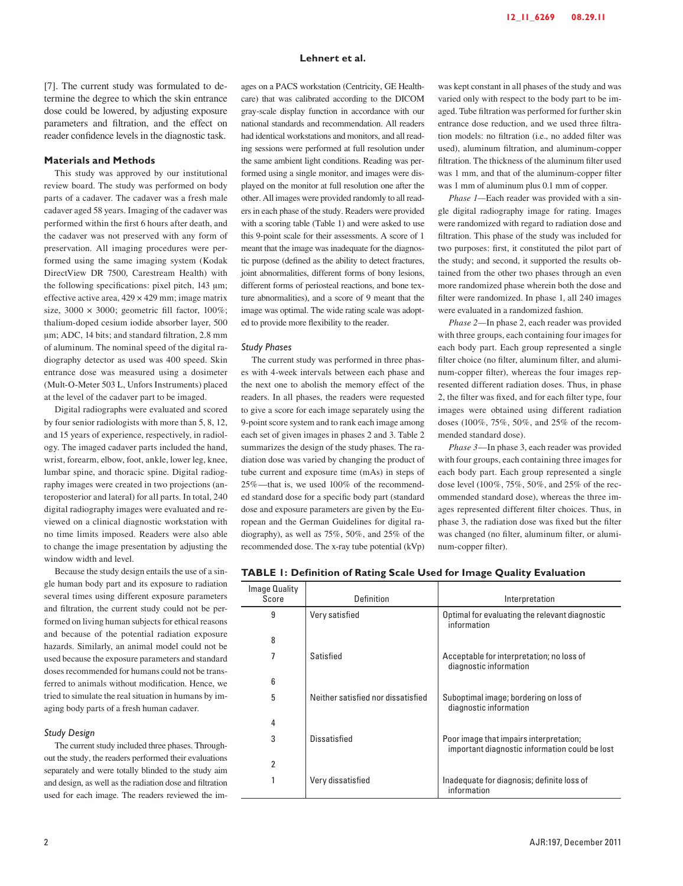[7]. The current study was formulated to determine the degree to which the skin entrance dose could be lowered, by adjusting exposure parameters and filtration, and the effect on reader confidence levels in the diagnostic task.

## **Materials and Methods**

This study was approved by our institutional review board. The study was performed on body parts of a cadaver. The cadaver was a fresh male cadaver aged 58 years. Imaging of the cadaver was performed within the first 6 hours after death, and the cadaver was not preserved with any form of preservation. All imaging procedures were performed using the same imaging system (Kodak DirectView DR 7500, Carestream Health) with the following specifications: pixel pitch, 143 μm; effective active area,  $429 \times 429$  mm; image matrix size,  $3000 \times 3000$ ; geometric fill factor,  $100\%$ ; thalium-doped cesium iodide absorber layer, 500 μm; ADC, 14 bits; and standard filtration, 2.8 mm of aluminum. The nominal speed of the digital radiography detector as used was 400 speed. Skin entrance dose was measured using a dosimeter (Mult-O-Meter 503 L, Unfors Instruments) placed at the level of the cadaver part to be imaged.

Digital radiographs were evaluated and scored by four senior radiologists with more than 5, 8, 12, and 15 years of experience, respectively, in radiology. The imaged cadaver parts included the hand, wrist, forearm, elbow, foot, ankle, lower leg, knee, lumbar spine, and thoracic spine. Digital radiography images were created in two projections (anteroposterior and lateral) for all parts. In total, 240 digital radiography images were evaluated and reviewed on a clinical diagnostic workstation with no time limits imposed. Readers were also able to change the image presentation by adjusting the window width and level.

Because the study design entails the use of a single human body part and its exposure to radiation several times using different exposure parameters and filtration, the current study could not be performed on living human subjects for ethical reasons and because of the potential radiation exposure hazards. Similarly, an animal model could not be used because the exposure parameters and standard doses recommended for humans could not be transferred to animals without modification. Hence, we tried to simulate the real situation in humans by imaging body parts of a fresh human cadaver.

## *Study Design*

The current study included three phases. Throughout the study, the readers performed their evaluations separately and were totally blinded to the study aim and design, as well as the radiation dose and filtration used for each image. The readers reviewed the im-

#### **Lehnert et al.**

ages on a PACS workstation (Centricity, GE Healthcare) that was calibrated according to the DICOM gray-scale display function in accordance with our national standards and recommendation. All readers had identical workstations and monitors, and all reading sessions were performed at full resolution under the same ambient light conditions. Reading was performed using a single monitor, and images were displayed on the monitor at full resolution one after the other. All images were provided randomly to all readers in each phase of the study. Readers were provided with a scoring table (Table 1) and were asked to use this 9-point scale for their assessments. A score of 1 meant that the image was inadequate for the diagnostic purpose (defined as the ability to detect fractures, joint abnormalities, different forms of bony lesions, different forms of periosteal reactions, and bone texture abnormalities), and a score of 9 meant that the image was optimal. The wide rating scale was adopted to provide more flexibility to the reader.

## *Study Phases*

The current study was performed in three phases with 4-week intervals between each phase and the next one to abolish the memory effect of the readers. In all phases, the readers were requested to give a score for each image separately using the 9-point score system and to rank each image among each set of given images in phases 2 and 3. Table 2 summarizes the design of the study phases. The radiation dose was varied by changing the product of tube current and exposure time (mAs) in steps of 25%—that is, we used 100% of the recommended standard dose for a specific body part (standard dose and exposure parameters are given by the European and the German Guidelines for digital radiography), as well as 75%, 50%, and 25% of the recommended dose. The x-ray tube potential (kVp)

was kept constant in all phases of the study and was varied only with respect to the body part to be imaged. Tube filtration was performed for further skin entrance dose reduction, and we used three filtration models: no filtration (i.e., no added filter was used), aluminum filtration, and aluminum-copper filtration. The thickness of the aluminum filter used was 1 mm, and that of the aluminum-copper filter was 1 mm of aluminum plus 0.1 mm of copper.

*Phase 1—*Each reader was provided with a single digital radiography image for rating. Images were randomized with regard to radiation dose and filtration. This phase of the study was included for two purposes: first, it constituted the pilot part of the study; and second, it supported the results obtained from the other two phases through an even more randomized phase wherein both the dose and filter were randomized. In phase 1, all 240 images were evaluated in a randomized fashion.

*Phase 2—*In phase 2, each reader was provided with three groups, each containing four images for each body part. Each group represented a single filter choice (no filter, aluminum filter, and aluminum-copper filter), whereas the four images represented different radiation doses. Thus, in phase 2, the filter was fixed, and for each filter type, four images were obtained using different radiation doses (100%, 75%, 50%, and 25% of the recommended standard dose).

*Phase 3*—In phase 3, each reader was provided with four groups, each containing three images for each body part. Each group represented a single dose level (100%, 75%, 50%, and 25% of the recommended standard dose), whereas the three images represented different filter choices. Thus, in phase 3, the radiation dose was fixed but the filter was changed (no filter, aluminum filter, or aluminum-copper filter).

| TABLE I: Definition of Rating Scale Used for Image Quality Evaluation |  |  |  |  |
|-----------------------------------------------------------------------|--|--|--|--|
|-----------------------------------------------------------------------|--|--|--|--|

| Image Quality<br>Score | Definition                         | Interpretation                                                                            |  |
|------------------------|------------------------------------|-------------------------------------------------------------------------------------------|--|
| 9                      | Very satisfied                     | Optimal for evaluating the relevant diagnostic<br>information                             |  |
| 8                      |                                    |                                                                                           |  |
| 7                      | Satisfied                          | Acceptable for interpretation; no loss of<br>diagnostic information                       |  |
| 6                      |                                    |                                                                                           |  |
| 5                      | Neither satisfied nor dissatisfied | Suboptimal image; bordering on loss of<br>diagnostic information                          |  |
| 4                      |                                    |                                                                                           |  |
| 3                      | Dissatisfied                       | Poor image that impairs interpretation;<br>important diagnostic information could be lost |  |
| 2                      |                                    |                                                                                           |  |
|                        | Very dissatisfied                  | Inadequate for diagnosis; definite loss of<br>information                                 |  |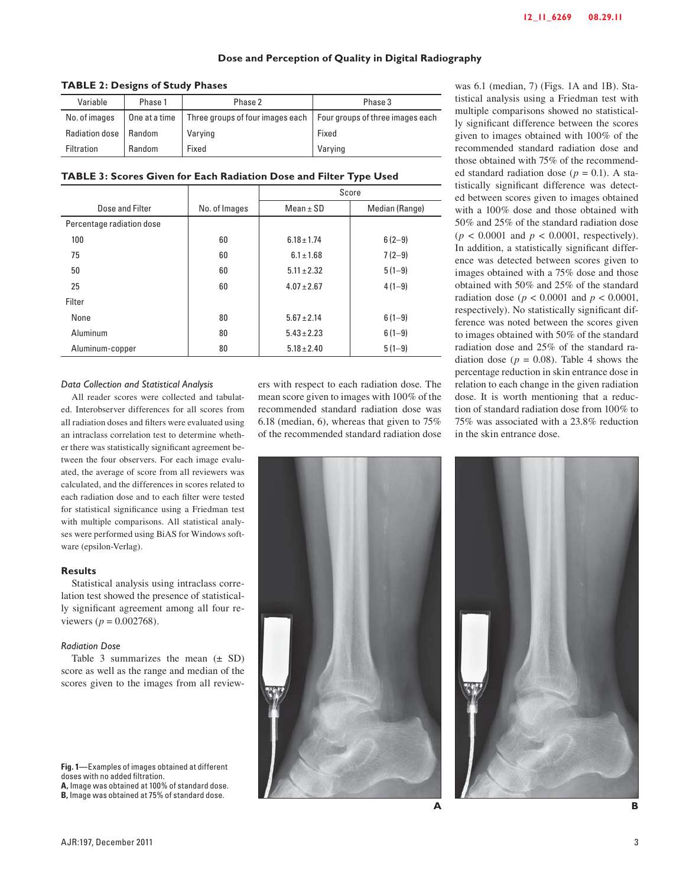## **Dose and Perception of Quality in Digital Radiography**

| Variable          | Phase 1       | Phase 2                                                             | Phase 3 |
|-------------------|---------------|---------------------------------------------------------------------|---------|
| No. of images     | One at a time | Three groups of four images each   Four groups of three images each |         |
| Radiation dose    | Random        | Varying                                                             | Fixed   |
| <b>Filtration</b> | Random        | Fixed                                                               | Varying |

## **TABLE 2: Designs of Study Phases**

#### **TABLE 3: Scores Given for Each Radiation Dose and Filter Type Used**

|                           |               | Score           |                |
|---------------------------|---------------|-----------------|----------------|
| Dose and Filter           | No. of Images | Mean $\pm$ SD   | Median (Range) |
| Percentage radiation dose |               |                 |                |
| 100                       | 60            | $6.18 \pm 1.74$ | $6(2-9)$       |
| 75                        | 60            | $6.1 \pm 1.68$  | $7(2-9)$       |
| 50                        | 60            | $5.11 \pm 2.32$ | $5(1-9)$       |
| 25                        | 60            | $4.07 \pm 2.67$ | $4(1-9)$       |
| Filter                    |               |                 |                |
| None                      | 80            | $5.67 \pm 2.14$ | $6(1-9)$       |
| Aluminum                  | 80            | $5.43 \pm 2.23$ | $6(1-9)$       |
| Aluminum-copper           | 80            | $5.18 \pm 2.40$ | $5(1-9)$       |

#### *Data Collection and Statistical Analysis*

All reader scores were collected and tabulated. Interobserver differences for all scores from all radiation doses and filters were evaluated using an intraclass correlation test to determine whether there was statistically significant agreement between the four observers. For each image evaluated, the average of score from all reviewers was calculated, and the differences in scores related to each radiation dose and to each filter were tested for statistical significance using a Friedman test with multiple comparisons. All statistical analyses were performed using BiAS for Windows software (epsilon-Verlag).

## **Results**

Statistical analysis using intraclass correlation test showed the presence of statistically significant agreement among all four reviewers ( $p = 0.002768$ ).

#### *Radiation Dose*

Table 3 summarizes the mean  $(\pm SD)$ score as well as the range and median of the scores given to the images from all review-

**Fig. 1—**Examples of images obtained at different doses with no added filtration. **A,** Image was obtained at 100% of standard dose.

**B,** Image was obtained at 75% of standard dose.

ers with respect to each radiation dose. The mean score given to images with 100% of the recommended standard radiation dose was 6.18 (median, 6), whereas that given to 75% of the recommended standard radiation dose



was 6.1 (median, 7) (Figs. 1A and 1B). Statistical analysis using a Friedman test with multiple comparisons showed no statistically significant difference between the scores given to images obtained with 100% of the recommended standard radiation dose and those obtained with 75% of the recommended standard radiation dose ( $p = 0.1$ ). A statistically significant difference was detected between scores given to images obtained with a 100% dose and those obtained with 50% and 25% of the standard radiation dose  $(p < 0.0001$  and  $p < 0.0001$ , respectively). In addition, a statistically significant difference was detected between scores given to images obtained with a 75% dose and those obtained with 50% and 25% of the standard radiation dose ( $p < 0.0001$  and  $p < 0.0001$ , respectively). No statistically significant difference was noted between the scores given to images obtained with 50% of the standard radiation dose and 25% of the standard radiation dose ( $p = 0.08$ ). Table 4 shows the percentage reduction in skin entrance dose in relation to each change in the given radiation dose. It is worth mentioning that a reduction of standard radiation dose from 100% to 75% was associated with a 23.8% reduction in the skin entrance dose.

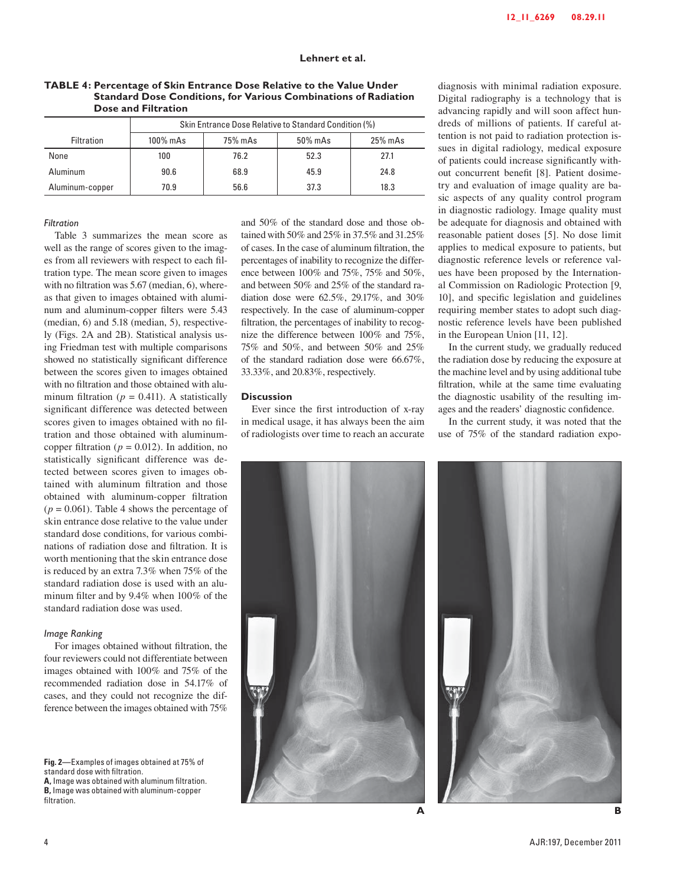**TABLE 4: Percentage of Skin Entrance Dose Relative to the Value Under Standard Dose Conditions, for Various Combinations of Radiation Dose and Filtration**

|                   | Skin Entrance Dose Relative to Standard Condition (%) |         |         |         |
|-------------------|-------------------------------------------------------|---------|---------|---------|
| <b>Filtration</b> | 100% mAs                                              | 75% mAs | 50% mAs | 25% mAs |
| None              | 100                                                   | 76.2    | 52.3    | 27.1    |
| <b>Aluminum</b>   | 90.6                                                  | 68.9    | 45.9    | 24.8    |
| Aluminum-copper   | 70.9                                                  | 56.6    | 37.3    | 18.3    |

## *Filtration*

Table 3 summarizes the mean score as well as the range of scores given to the images from all reviewers with respect to each filtration type. The mean score given to images with no filtration was 5.67 (median, 6), whereas that given to images obtained with aluminum and aluminum-copper filters were 5.43 (median, 6) and 5.18 (median, 5), respectively (Figs. 2A and 2B). Statistical analysis using Friedman test with multiple comparisons showed no statistically significant difference between the scores given to images obtained with no filtration and those obtained with aluminum filtration ( $p = 0.411$ ). A statistically significant difference was detected between scores given to images obtained with no filtration and those obtained with aluminumcopper filtration ( $p = 0.012$ ). In addition, no statistically significant difference was detected between scores given to images obtained with aluminum filtration and those obtained with aluminum-copper filtration  $(p = 0.061)$ . Table 4 shows the percentage of skin entrance dose relative to the value under standard dose conditions, for various combinations of radiation dose and filtration. It is worth mentioning that the skin entrance dose is reduced by an extra 7.3% when 75% of the standard radiation dose is used with an aluminum filter and by 9.4% when 100% of the standard radiation dose was used.

## *Image Ranking*

For images obtained without filtration, the four reviewers could not differentiate between images obtained with 100% and 75% of the recommended radiation dose in 54.17% of cases, and they could not recognize the difference between the images obtained with 75%

**Fig. 2—**Examples of images obtained at 75% of standard dose with filtration.

**A,** Image was obtained with aluminum filtration. **B,** Image was obtained with aluminum-copper filtration.

and 50% of the standard dose and those obtained with 50% and 25% in 37.5% and 31.25% of cases. In the case of aluminum filtration, the percentages of inability to recognize the difference between 100% and 75%, 75% and 50%, and between 50% and 25% of the standard radiation dose were 62.5%, 29.17%, and 30% respectively. In the case of aluminum-copper filtration, the percentages of inability to recognize the difference between 100% and 75%, 75% and 50%, and between 50% and 25% of the standard radiation dose were 66.67%, 33.33%, and 20.83%, respectively.

## **Discussion**

Ever since the first introduction of x-ray in medical usage, it has always been the aim of radiologists over time to reach an accurate

**A**

diagnosis with minimal radiation exposure. Digital radiography is a technology that is advancing rapidly and will soon affect hundreds of millions of patients. If careful attention is not paid to radiation protection issues in digital radiology, medical exposure of patients could increase significantly without concurrent benefit [8]. Patient dosimetry and evaluation of image quality are basic aspects of any quality control program in diagnostic radiology. Image quality must be adequate for diagnosis and obtained with reasonable patient doses [5]. No dose limit applies to medical exposure to patients, but diagnostic reference levels or reference values have been proposed by the International Commission on Radiologic Protection [9, 10], and specific legislation and guidelines requiring member states to adopt such diagnostic reference levels have been published in the European Union [11, 12].

In the current study, we gradually reduced the radiation dose by reducing the exposure at the machine level and by using additional tube filtration, while at the same time evaluating the diagnostic usability of the resulting images and the readers' diagnostic confidence.

In the current study, it was noted that the use of 75% of the standard radiation expo-